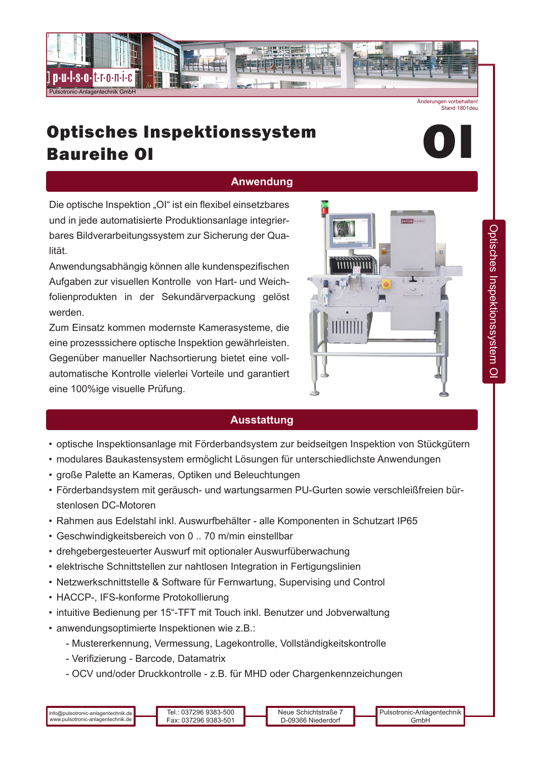

Änderungen vorbehalten! Stand 1801deu

# Optisches Inspektionssystem Baureihe OI



## **Anwendung**

Die optische Inspektion "OI" ist ein flexibel einsetzbares und in jede automatisierte Produktionsanlage integrierbares Bildverarbeitungssystem zur Sicherung der Qualität.

Anwendungsabhängig können alle kundenspezifischen Aufgaben zur visuellen Kontrolle von Hart- und Weichfolienprodukten in der Sekundärverpackung gelöst werden.

Zum Einsatz kommen modernste Kamerasysteme, die eine prozesssichere optische Inspektion gewährleisten. Gegenüber manueller Nachsortierung bietet eine vollautomatische Kontrolle vielerlei Vorteile und garantiert eine 100%ige visuelle Prüfung.



#### **Ausstattung**

- optische Inspektionsanlage mit Förderbandsystem zur beidseitgen Inspektion von Stückgütern
- modulares Baukastensystem ermöglicht Lösungen für unterschiedlichste Anwendungen
- große Palette an Kameras, Optiken und Beleuchtungen
- Förderbandsystem mit geräusch- und wartungsarmen PU-Gurten sowie verschleißfreien bürstenlosen DC-Motoren
- Rahmen aus Edelstahl inkl. Auswurfbehälter alle Komponenten in Schutzart IP65
- Geschwindigkeitsbereich von 0 .. 70 m/min einstellbar
- drehgebergesteuerter Auswurf mit optionaler Auswurfüberwachung
- elektrische Schnittstellen zur nahtlosen Integration in Fertigungslinien
- Netzwerkschnittstelle & Software für Fernwartung, Supervising und Control
- HACCP-, IFS-konforme Protokollierung
- intuitive Bedienung per 15"-TFT mit Touch inkl. Benutzer und Jobverwaltung
- anwendungsoptimierte Inspektionen wie z.B.:
	- Mustererkennung, Vermessung, Lagekontrolle, Vollständigkeitskontrolle
	- Verifizierung Barcode, Datamatrix
	- OCV und/oder Druckkontrolle z.B. für MHD oder Chargenkennzeichungen

Neue Schichtstraße 7 D-09366 Niederdorf Pulsotronic-Anlagentechnik GmbH